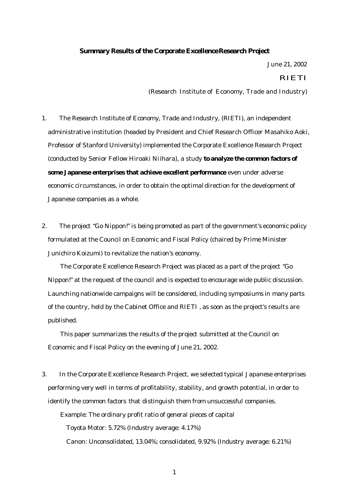### **Summary Results of the Corporate Excellence Research Project**

June 21, 2002

#### RIETI

(Research Institute of Economy, Trade and Industry)

- 1. The Research Institute of Economy, Trade and Industry, (RIETI), an independent administrative institution (headed by President and Chief Research Officer Masahiko Aoki, Professor of Stanford University) implemented the Corporate Excellence Research Project (conducted by Senior Fellow Hiroaki Niihara), a study **to analyze the common factors of some Japanese enterprises that achieve excellent performance** even under adverse economic circumstances, in order to obtain the optimal direction for the development of Japanese companies as a whole.
- 2. The project "Go Nippon!" is being promoted as part of the government's economic policy formulated at the Council on Economic and Fiscal Policy (chaired by Prime Minister Junichiro Koizumi) to revitalize the nation's economy.

The Corporate Excellence Research Project was placed as a part of the project "Go Nippon!" at the request of the council and is expected to encourage wide public discussion. Launching nationwide campaigns will be considered, including symposiums in many parts of the country, held by the Cabinet Office and RIETI , as soon as the project's results are published.

This paper summarizes the results of the project submitted at the Council on Economic and Fiscal Policy on the evening of June 21, 2002.

3. In the Corporate Excellence Research Project, we selected typical Japanese enterprises performing very well in terms of profitability, stability, and growth potential, in order to identify the common factors that distinguish them from unsuccessful companies. Example: The ordinary profit ratio of general pieces of capital Toyota Motor: 5.72% (Industry average: 4.17%) Canon: Unconsolidated, 13.04%; consolidated, 9.92% (Industry average: 6.21%)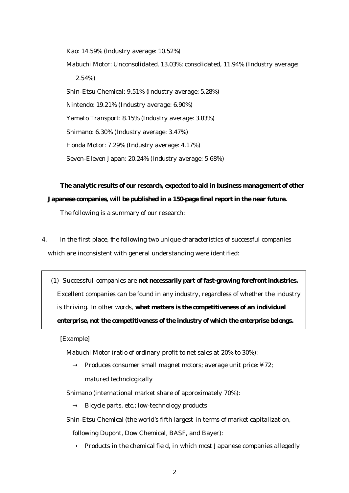Kao: 14.59% (Industry average: 10.52%) Mabuchi Motor: Unconsolidated, 13.03%; consolidated, 11.94% (Industry average: 2.54%) Shin-Etsu Chemical: 9.51% (Industry average: 5.28%) Nintendo: 19.21% (Industry average: 6.90%) Yamato Transport: 8.15% (Industry average: 3.83%) Shimano: 6.30% (Industry average: 3.47%) Honda Motor: 7.29% (Industry average: 4.17%) Seven-Eleven Japan: 20.24% (Industry average: 5.68%)

# **The analytic results of our research, expected to aid in business management of other Japanese companies, will be published in a 150-page final report in the near future.**

The following is a summary of our research:

4. In the first place, the following two unique characteristics of successful companies which are inconsistent with general understanding were identified:

(1) Successful companies are **not necessarily part of fast-growing forefront industries.** Excellent companies can be found in any industry, regardless of whether the industry is thriving. In other words, **what matters is the competitiveness of an individual enterprise, not the competitiveness of the industry of which the enterprise belongs.**

[Example]

Mabuchi Motor (ratio of ordinary profit to net sales at 20% to 30%):

Produces consumer small magnet motors; average unit price: ¥72;

matured technologically

Shimano (international market share of approximately 70%):

Bicycle parts, etc.; low-technology products

Shin-Etsu Chemical (the world's fifth largest in terms of market capitalization,

following Dupont, Dow Chemical, BASF, and Bayer):

Products in the chemical field, in which most Japanese companies allegedly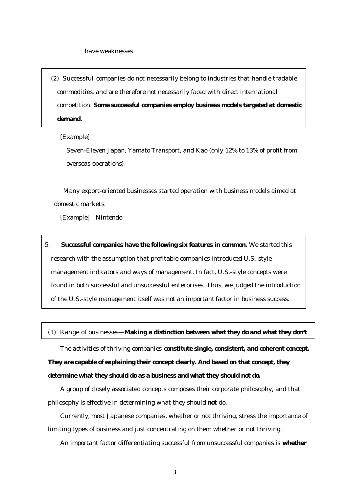(2) Successful companies do not necessarily belong to industries that handle tradable commodities, and are therefore not necessarily faced with direct international competition. **Some successful companies employ business models targeted at domestic demand.**

#### [Example]

Seven-Eleven Japan, Yamato Transport, and Kao (only 12% to 13% of profit from overseas operations)

Many export-oriented businesses started operation with business models aimed at domestic markets.

[Example] Nintendo

5. **Successful companies have the following six features in common.** We started this research with the assumption that profitable companies introduced U.S.-style management indicators and ways of management. In fact, U.S.-style concepts were found in both successful and unsuccessful enterprises. Thus, we judged the introduction of the U.S.-style management itself was not an important factor in business success.

(1) Range of businesses—**Making a distinction between what they do and what they don't**

The activities of thriving companies **constitute single, consistent, and coherent concept.** 

**They are capable of explaining their concept clearly. And based on that concept, they determine what they should do as a business and what they should not do.**

A group of closely associated concepts composes their corporate philosophy, and that philosophy is effective in determining what they should **not** do.

Currently, most Japanese companies, whether or not thriving, stress the importance of limiting types of business and just concentrating on them whether or not thriving.

An important factor differentiating successful from unsuccessful companies is **whether**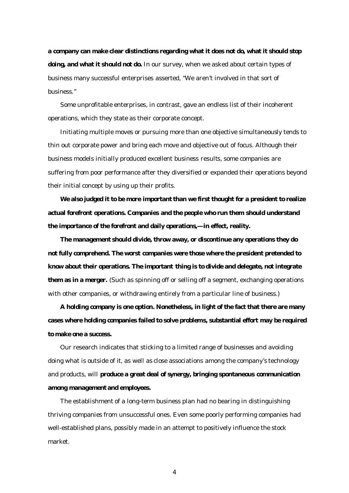**a company can make clear distinctions regarding what it does not do, what it should stop doing, and what it should not do.** In our survey, when we asked about certain types of business many successful enterprises asserted, "We aren't involved in that sort of business."

Some unprofitable enterprises, in contrast, gave an endless list of their incoherent operations, which they state as their corporate concept.

Initiating multiple moves or pursuing more than one objective simultaneously tends to thin out corporate power and bring each move and objective out of focus. Although their business models initially produced excellent business results, some companies are suffering from poor performance after they diversified or expanded their operations beyond their initial concept by using up their profits.

**We also judged it to be more important than we first thought for a president to realize actual forefront operations. Companies and the people who run them should understand the importance of the forefront and daily operations,—in effect, reality.**

**The management should divide, throw away, or discontinue any operations they do not fully comprehend. The worst companies were those where the president pretended to know about their operations. The important thing is to divide and delegate, not integrate them as in a merger.** (Such as spinning off or selling off a segment, exchanging operations with other companies, or withdrawing entirely from a particular line of business.)

**A holding company is one option. Nonetheless, in light of the fact that there are many cases where holding companies failed to solve problems, substantial effort may be required to make one a success.**

Our research indicates that sticking to a limited range of businesses and avoiding doing what is outside of it, as well as close associations among the company's technology and products, will **produce a great deal of synergy, bringing spontaneous communication among management and employees.**

The establishment of a long-term business plan had no bearing in distinguishing thriving companies from unsuccessful ones. Even some poorly performing companies had well-established plans, possibly made in an attempt to positively influence the stock market.

4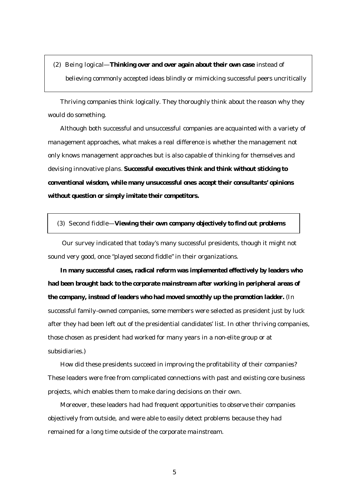(2) Being logical—**Thinking over and over again about their own case** instead of believing commonly accepted ideas blindly or mimicking successful peers uncritically

Thriving companies think logically. They thoroughly think about the reason why they would do something.

Although both successful and unsuccessful companies are acquainted with a variety of management approaches, what makes a real difference is whether the management not only knows management approaches but is also capable of thinking for themselves and devising innovative plans. **Successful executives think and think without sticking to conventional wisdom, while many unsuccessful ones accept their consultants' opinions without question or simply imitate their competitors.**

#### (3) Second fiddle—**Viewing their own company objectively to find out problems**

 Our survey indicated that today's many successful presidents, though it might not sound very good, once "played second fiddle" in their organizations.

**In many successful cases, radical reform was implemented effectively by leaders who had been brought back to the corporate mainstream after working in peripheral areas of the company, instead of leaders who had moved smoothly up the promotion ladder.** (In successful family-owned companies, some members were selected as president just by luck after they had been left out of the presidential candidates' list. In other thriving companies, those chosen as president had worked for many years in a non-elite group or at subsidiaries.)

How did these presidents succeed in improving the profitability of their companies? These leaders were free from complicated connections with past and existing core business projects, which enables them to make daring decisions on their own.

Moreover, these leaders had had frequent opportunities to observe their companies objectively from outside, and were able to easily detect problems because they had remained for a long time outside of the corporate mainstream.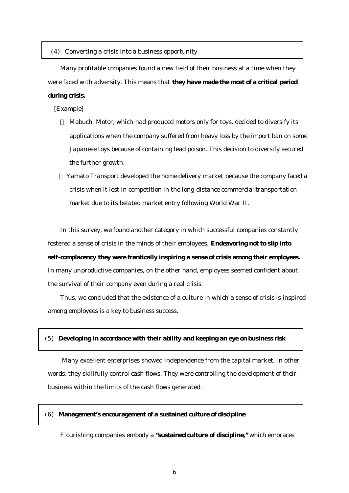#### (4) Converting a crisis into a business opportunity

Many profitable companies found a new field of their business at a time when they were faced with adversity. This means that **they have made the most of a critical period** 

## **during crisis.**

[Example]

Mabuchi Motor, which had produced motors only for toys, decided to diversify its applications when the company suffered from heavy loss by the import ban on some Japanese toys because of containing lead poison. This decision to diversify secured the further growth.

Yamato Transport developed the home delivery market because the company faced a crisis when it lost in competition in the long-distance commercial transportation market due to its belated market entry following World War II.

In this survey, we found another category in which successful companies constantly fostered a sense of crisis in the minds of their employees. **Endeavoring not to slip into self-complacency they were frantically inspiring a sense of crisis among their employees.**  In many unproductive companies, on the other hand, employees seemed confident about the survival of their company even during a real crisis.

Thus, we concluded that the existence of a culture in which a sense of crisis is inspired among employees is a key to business success.

#### (5) **Developing in accordance with their ability and keeping an eye on business risk**

 Many excellent enterprises showed independence from the capital market. In other words, they skillfully control cash flows. They were controlling the development of their business within the limits of the cash flows generated.

### (6) **Management's encouragement of a sustained culture of discipline**

Flourishing companies embody a **"sustained culture of discipline,"** which embraces